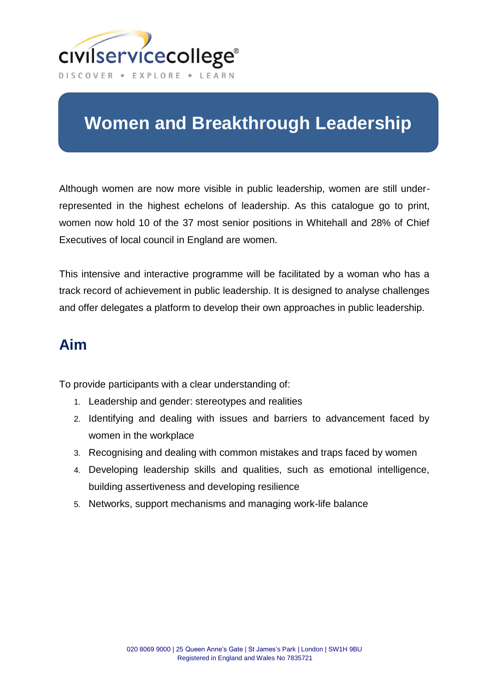

# **Women and Breakthrough Leadership**

Although women are now more visible in public leadership, women are still underrepresented in the highest echelons of leadership. As this catalogue go to print, women now hold 10 of the 37 most senior positions in Whitehall and 28% of Chief Executives of local council in England are women.

This intensive and interactive programme will be facilitated by a woman who has a track record of achievement in public leadership. It is designed to analyse challenges and offer delegates a platform to develop their own approaches in public leadership.

# **Aim**

To provide participants with a clear understanding of:

- 1. Leadership and gender: stereotypes and realities
- 2. Identifying and dealing with issues and barriers to advancement faced by women in the workplace
- 3. Recognising and dealing with common mistakes and traps faced by women
- 4. Developing leadership skills and qualities, such as emotional intelligence, building assertiveness and developing resilience
- 5. Networks, support mechanisms and managing work-life balance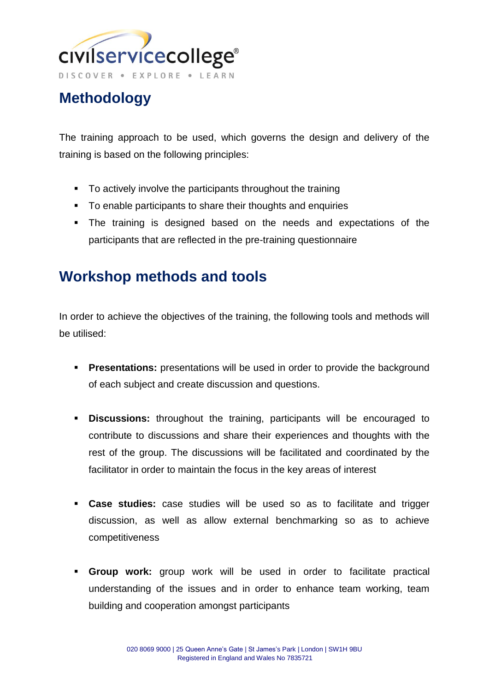

# **Methodology**

The training approach to be used, which governs the design and delivery of the training is based on the following principles:

- To actively involve the participants throughout the training
- To enable participants to share their thoughts and enquiries
- The training is designed based on the needs and expectations of the participants that are reflected in the pre-training questionnaire

# **Workshop methods and tools**

In order to achieve the objectives of the training, the following tools and methods will be utilised:

- **Presentations:** presentations will be used in order to provide the background of each subject and create discussion and questions.
- **Discussions:** throughout the training, participants will be encouraged to contribute to discussions and share their experiences and thoughts with the rest of the group. The discussions will be facilitated and coordinated by the facilitator in order to maintain the focus in the key areas of interest
- **Case studies:** case studies will be used so as to facilitate and trigger discussion, as well as allow external benchmarking so as to achieve competitiveness
- **Group work:** group work will be used in order to facilitate practical understanding of the issues and in order to enhance team working, team building and cooperation amongst participants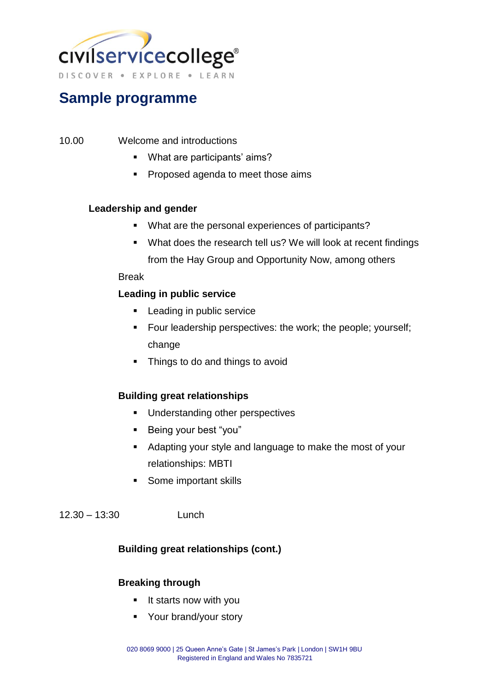

# **Sample programme**

- 10.00 Welcome and introductions
	- What are participants' aims?
	- **Proposed agenda to meet those aims**

#### **Leadership and gender**

- What are the personal experiences of participants?
- What does the research tell us? We will look at recent findings from the Hay Group and Opportunity Now, among others

#### Break

### **Leading in public service**

- **Leading in public service**
- **Four leadership perspectives: the work; the people; yourself;** change
- Things to do and things to avoid

### **Building great relationships**

- Understanding other perspectives
- **Being your best "you"**
- Adapting your style and language to make the most of your relationships: MBTI
- **Some important skills**

12.30 – 13:30 Lunch

### **Building great relationships (cont.)**

#### **Breaking through**

- **If starts now with you**
- **•** Your brand/your story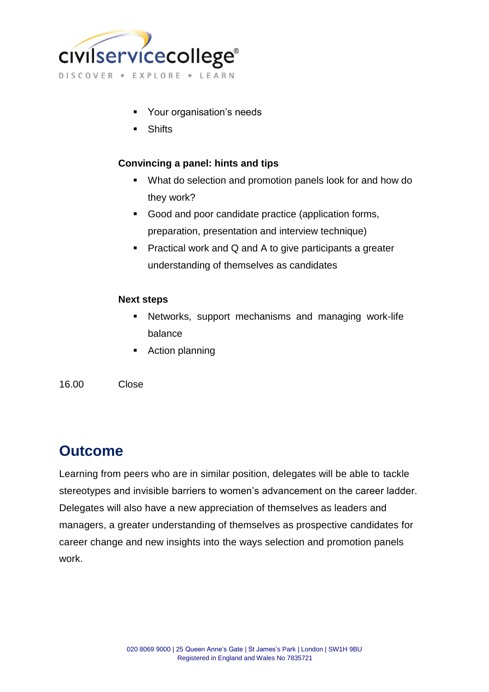

- Your organisation's needs
- **Shifts**

### **Convincing a panel: hints and tips**

- What do selection and promotion panels look for and how do they work?
- Good and poor candidate practice (application forms, preparation, presentation and interview technique)
- **Practical work and Q and A to give participants a greater** understanding of themselves as candidates

#### **Next steps**

- Networks, support mechanisms and managing work-life balance
- Action planning

#### 16.00 Close

# **Outcome**

Learning from peers who are in similar position, delegates will be able to tackle stereotypes and invisible barriers to women's advancement on the career ladder. Delegates will also have a new appreciation of themselves as leaders and managers, a greater understanding of themselves as prospective candidates for career change and new insights into the ways selection and promotion panels work.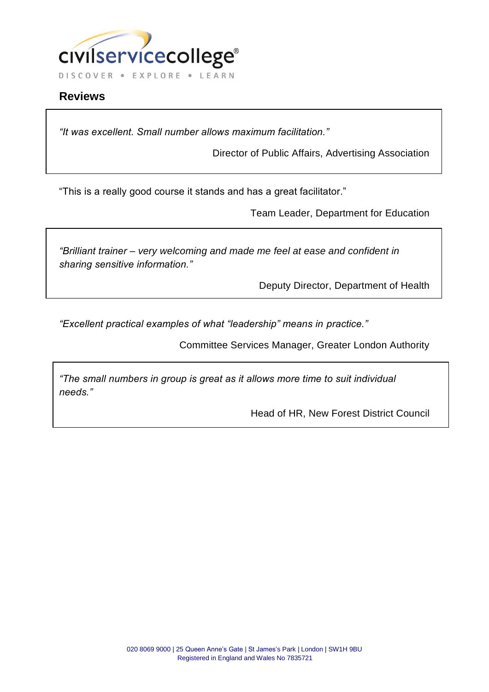

## **Reviews**

*"It was excellent. Small number allows maximum facilitation."*

Director of Public Affairs, Advertising Association

"This is a really good course it stands and has a great facilitator."

Team Leader, Department for Education

*"Brilliant trainer – very welcoming and made me feel at ease and confident in sharing sensitive information."*

Deputy Director, Department of Health

*"Excellent practical examples of what "leadership" means in practice."*

Committee Services Manager, Greater London Authority

*"The small numbers in group is great as it allows more time to suit individual needs."*

Head of HR, New Forest District Council